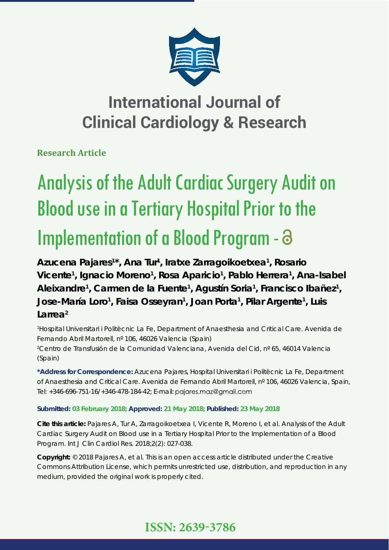

**Research Article**

# Analysis of the Adult Cardiac Surgery Audit on Blood use in a Tertiary Hospital Prior to the Implementation of a Blood Program -  $\partial$

Azucena Pajares<sup>1\*</sup>, Ana Tur<sup>1</sup>, Iratxe Zarragoikoetxea<sup>1</sup>, Rosario Vicente<sup>1</sup>, Ignacio Moreno<sup>1</sup>, Rosa Aparicio<sup>1</sup>, Pablo Herrera<sup>1</sup>, Ana-Isabel Aleixandre<sup>1</sup>, Carmen de la Fuente<sup>1</sup>, Agustín Soria<sup>1</sup>, Francisco Ibañez<sup>1</sup>, **Jose-María Loro<sup>1</sup>, Faisa Osseyran<sup>1</sup>, Joan Porta<sup>1</sup>, Pilar Argente<sup>1</sup>, Luis Larrea2**

*1 Hospital Universitari i Politècnic La Fe, Department of Anaesthesia and Critical Care. Avenida de Fernando Abril Martorell, nº 106, 46026 Valencia (Spain) 2 Centro de Transfusión de la Comunidad Valenciana, Avenida del Cid, nº 65, 46014 Valencia (Spain)*

**\*Address for Correspondence:** Azucena Pajares, Hospital Universitari i Politècnic La Fe, Department of Anaesthesia and Critical Care. Avenida de Fernando Abril Martorell, nº 106, 46026 Valencia, Spain, Tel: +346-696-751-16/+346-478-184-42; E-mail: pajares.maz@gmail.com

# **Submitted: 03 February 2018; Approved: 21 May 2018; Published: 23 May 2018**

**Cite this article:** Pajares A, Tur A, Zarragoikoetxea I, Vicente R, Moreno I, et al. Analysis of the Adult Cardiac Surgery Audit on Blood use in a Tertiary Hospital Prior to the Implementation of a Blood Program. Int J Clin Cardiol Res. 2018;2(2): 027-038.

**Copyright:** © 2018 Pajares A, et al. This is an open access article distributed under the Creative Commons Attribution License, which permits unrestricted use, distribution, and reproduction in any medium, provided the original work is properly cited.

# **ISSN: 2639-3786**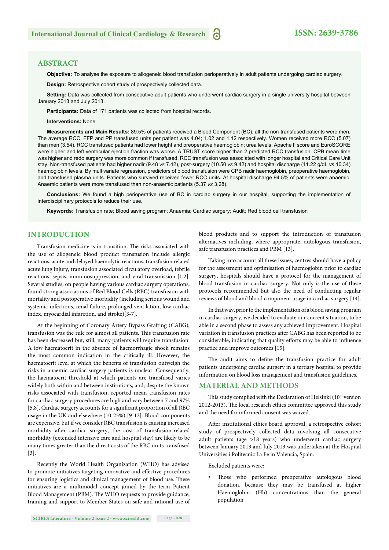#### **ABSTRACT**

**Objective:** To analyse the exposure to allogeneic blood transfusion perioperatively in adult patients undergoing cardiac surgery.

**Design:** Retrospective cohort study of prospectively collected data.

**Setting:** Data was collected from consecutive adult patients who underwent cardiac surgery in a single university hospital between January 2013 and July 2013.

**Participants:** Data of 171 patients was collected from hospital records.

**Interventions:** None.

**Measurements and Main Results:** 89.5% of patients received a Blood Component (BC), all the non-transfused patients were men. The average RCC, FFP and PP transfused units per patient was 4.04; 1.02 and 1.12 respectively. Women received more RCC (5.07) than men (3.54). RCC transfused patients had lower height and preoperative haemoglobin; urea levels, Apache II score and EuroSCORE were higher and left ventricular ejection fraction was worse. A TRUST score higher than 2 predicted RCC transfusion. CPB mean time was higher and redo surgery was more common if transfused. RCC transfusion was associated with longer hospital and Critical Care Unit stay. Non-transfused patients had higher nadir (9.48 *vs* 7.42), post-surgery (10.50 *vs* 9.42) and hospital discharge (11.22 g/dL *vs* 10.34) haemoglobin levels. By multivariate regression, predictors of blood transfusion were CPB nadir haemoglobin, preoperative haemoglobin, and transfused plasma units. Patients who survived received fewer RCC units. At hospital discharge 94.5% of patients were anaemic. Anaemic patients were more transfused than non-anaemic patients (5.37 *vs* 3.28).

**Conclusions:** We found a high perioperative use of BC in cardiac surgery in our hospital, supporting the implementation of interdisciplinary protocols to reduce their use.

**Keywords:** Transfusion rate; Blood saving program; Anaemia; Cardiac surgery; Audit; Red blood cell transfusion

#### **INTRODUCTION**

Transfusion medicine is in transition. The risks associated with the use of allogeneic blood product transfusion include allergic reactions, acute and delayed haemolytic reactions, transfusion related acute lung injury, transfusion associated circulatory overload, febrile reactions, sepsis, immunosuppression, and viral transmission [1,2]. Several studies, on people having various cardiac surgery operations, found strong associations of Red Blood Cells (RBC) transfusion with mortality and postoperative morbidity (including serious wound and systemic infections, renal failure, prolonged ventilation, low cardiac index, myocardial infarction, and stroke) [3-7].

At the beginning of Coronary Artery Bypass Grafting (CABG), transfusion was the rule for almost all patients. This transfusion rate has been decreased but, still, many patients will require transfusion. A low haematocrit in the absence of haemorrhagic shock remains the most common indication in the critically ill. However, the haematocrit level at which the benefits of transfusion outweigh the risks in anaemic cardiac surgery patients is unclear. Consequently, the haematocrit threshold at which patients are transfused varies widely both within and between institutions, and, despite the known risks associated with transfusion, reported mean transfusion rates for cardiac surgery procedures are high and vary between 7 and 97% [5,8]. Cardiac surgery accounts for a significant proportion of all RBC usage in the UK and elsewhere (10-25%) [9-12]. Blood components are expensive, but if we consider RBC transfusion is causing increased morbidity after cardiac surgery, the cost of transfusion-related morbidity (extended intensive care and hospital stay) are likely to be many times greater than the direct costs of the RBC units transfused [3].

Recently the World Health Organization (WHO) has advised to promote initiatives targeting innovative and effective procedures for ensuring logistics and clinical management of blood use. These initiatives are a multimodal concept joined by the term Patient Blood Management (PBM). The WHO requests to provide guidance, training and support to Member States on safe and rational use of

**SCIRES Literature - Volume 2 Issue 2 - www.scireslit.com Page - 028**

blood products and to support the introduction of transfusion alternatives including, where appropriate, autologous transfusion, safe transfusion practices and PBM [13].

Taking into account all these issues, centres should have a policy for the assessment and optimisation of haemoglobin prior to cardiac surgery, hospitals should have a protocol for the management of blood transfusion in cardiac surgery. Not only is the use of these protocols recommended but also the need of conducting regular reviews of blood and blood component usage in cardiac surgery [14].

In that way, prior to the implementation of a blood saving program in cardiac surgery, we decided to evaluate our current situation, to be able in a second phase to assess any achieved improvement. Hospital variation in transfusion practices after CABG has been reported to be considerable, indicating that quality efforts may be able to influence practice and improve outcomes [15].

The audit aims to define the transfusion practice for adult patients undergoing cardiac surgery in a tertiary hospital to provide information on blood loss management and transfusion guidelines.

#### **MATERIAL AND METHODS**

This study complied with the Declaration of Helsinki (10<sup>th</sup> version 2012-2013). The local research ethics committee approved this study and the need for informed consent was waived.

After institutional ethics board approval, a retrospective cohort study of prospectively collected data involving all consecutive adult patients (age >18 years) who underwent cardiac surgery between January 2013 and July 2013 was undertaken at the Hospital Universities i Politecnic La Fe in Valencia, Spain.

Excluded patients were:

Those who performed preoperative autologous blood donation, because they may be transfused at higher Haemoglobin (Hb) concentrations than the general population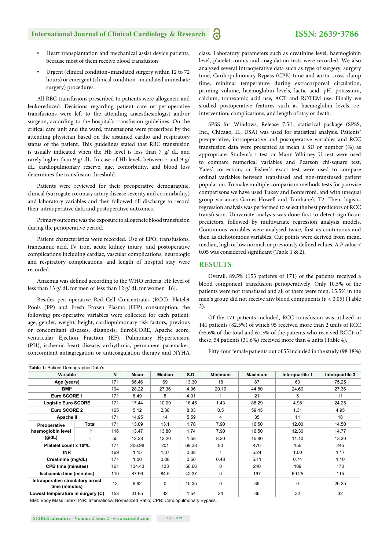- Heart transplantation and mechanical assist device patients, because most of them receive blood transfusion
- Urgent (clinical condition–mandated surgery within 12 to 72 hours) or emergent (clinical condition– mandated immediate surgery) procedures.

All RBC transfusions prescribed to patients were allogeneic and leukoreduced. Decisions regarding patient care or perioperative transfusions were left to the attending anaesthesiologist and/or surgeon, according to the hospital's transfusion guidelines. On the critical care unit and the ward, transfusions were prescribed by the attending physician based on the assumed cardio and respiratory status of the patient. This guidelines stated that RBC transfusion is usually indicated when the Hb level is less than 7 g/ dL and rarely higher than 9 g/ dL. In case of Hb levels between 7 and 9 g/ dL, cardiopulmonary reserve, age, comorbidity, and blood loss determines the transfusion threshold.

Patients were reviewed for their preoperative demographic, clinical (surrogate coronary artery disease severity and co morbidity) and laboratory variables and then followed till discharge to record their intraoperative data and postoperative outcomes.

Primary outcome was the exposure to allogeneic blood transfusion during the perioperative period.

Patient characteristics were recorded. Use of EPO, transfusions, tranexamic acid, IV iron, acute kidney injury, and postoperative complications including cardiac, vascular complications, neurologic and respiratory complications, and length of hospital stay were recorded.

Anaemia was defined according to the WHO criteria: Hb level of less than 13 g/ dL for men or less than 12 g/ dL for women [16].

Besides peri-operative Red Cell Concentrates (RCC), Platelet Pools (PP) and Fresh Frozen Plasma (FFP) consumption, the following pre-operative variables were collected for each patient: age, gender, weight, height, cardiopulmonary risk factors, previous or concomitant diseases, diagnosis, EuroSCORE, Apache score, ventricular Ejection Fraction (EF), Pulmonary Hypertension (PH), ischemic heart disease, arrhythmia, permanent pacemaker, concomitant antiagregation or anticoagulation therapy and NYHA class. Laboratory parameters such as creatinine level, haemoglobin level, platelet counts and coagulation tests were recorded. We also analysed several intraoperative data such as type of surgery, surgery time, Cardiopulmonary Bypass (CPB) time and aortic cross-clamp time, minimal temperature during extracorporeal circulation, priming volume, haemoglobin levels, lactic acid, pH, potassium, calcium, tranexamic acid use, ACT and ROTEM use. Finally we studied postoperative features such as haemoglobin levels, reintervention, complications, and length of stay or death.

SPSS for Windows, Release 7.5.1, statistical package (SPSS, Inc., Chicago, IL, USA) was used for statistical analysis. Patients' preoperative, intraoperative and postoperative variables and RCC transfusion data were presented as mean  $\pm$  SD or number (%) as appropriate. Student's t test or Mann-Whitney U test were used to compare numerical variables and Pearson chi-square test, Yates' correction, or Fisher's exact test were used to compare ordinal variables between transfused and non-transfused patient population. To make multiple comparison methods tests for pairwise comparisons we have used Tukey and Bonferroni, and with unequal group variances Games-Howell and Tamhane's T2. Then, logistic regression analysis was performed to select the best predictors of RCC transfusion. Univariate analysis was done first to detect significant predictors, followed by multivariate regression analysis models. Continuous variables were analysed twice, first as continuous and then as dichotomous variables. Cut points were derived from mean, median, high or low normal, or previously defined values. A P value < 0.05 was considered significant (Table 1 & 2).

#### **RESULTS**

Overall, 89.5% (153 patients of 171) of the patients received a blood component transfusion perioperatively. Only 10.5% of the patients were not transfused and all of them were men, 15.5% in the men's group did not receive any blood components (*p* < 0.05) (Table 3).

Of the 171 patients included, RCC transfusion was utilized in 141 patients (82.5%) of which 95 received more than 2 units of RCC (55.6% of the total and 67.3% of the patients who received RCC); of these, 54 patients (31.6%) received more than 4 units (Table 4).

Fifty-four female patients out of 55 included in the study (98.18%)

| Table 1: Patient Demographic Data's.                                                    |       |     |        |          |       |                |                |                 |                 |
|-----------------------------------------------------------------------------------------|-------|-----|--------|----------|-------|----------------|----------------|-----------------|-----------------|
| Variable                                                                                |       | N   | Mean   | Median   | S.D.  | <b>Minimum</b> | <b>Maximum</b> | Interguartile 1 | Interguartile 3 |
| Age (years)                                                                             |       | 171 | 66.46  | 69       | 13.30 | 18             | 87             | 60              | 75,25           |
| BMI*                                                                                    |       | 104 | 28.22  | 27.36    | 4.96  | 20.19          | 44.80          | 24.60           | 27.36           |
| Euro SCORE 1                                                                            |       | 171 | 8.49   | 8        | 4.01  |                | 21             | 5               | 11              |
| <b>Logistic Euro SCORE</b>                                                              |       | 171 | 17.44  | 10.09    | 18.46 | 1.43           | 88.29          | 4.98            | 24.25           |
| Euro SCORE 2                                                                            |       | 165 | 5.12   | 2.38     | 8.03  | 0.5            | 59.45          | 1.31            | 4.95            |
| Apache II                                                                               |       | 171 | 14.95  | 14       | 5.59  | 4              | 35             | 11              | 18              |
| Preoperative                                                                            | Total | 171 | 13.09  | 13.1     | 1.78  | 7.90           | 16.50          | 12.00           | 14.50           |
| haemoglobin level                                                                       | ₹     | 116 | 13.47  | 13.80    | 1.74  | 7.90           | 16.50          | 12.30           | 14.77           |
| (g/dL)                                                                                  | ¥     | 55  | 12.28  | 12.20    | 1.58  | 8.20           | 15.80          | 11.10           | 13.30           |
| Platelet count x 10 <sup>9</sup> /L                                                     |       | 171 | 206.98 | 201      | 69.38 | 80             | 476            | 155             | 245             |
| <b>INR</b>                                                                              |       | 169 | 1.15   | 1.07     | 0.38  |                | 5.24           | 1.00            | 1.17            |
| Creatinine (mg/dL)                                                                      |       | 171 | 1.00   | 0.88     | 0.50  | 0.48           | 5.11           | 0.74            | 1.10            |
| <b>CPB time (minutes)</b>                                                               |       | 161 | 134.43 | 133      | 56.66 | $\Omega$       | 240            | 109             | 170             |
| Ischaemia time (minutes)                                                                |       | 110 | 87.96  | 84.5     | 42.37 | 0              | 197            | 69.25           | 115             |
| Intraoperative circulatory arrest<br>time (minutes)                                     |       | 12  | 9.92   | $\Omega$ | 15.35 | 0              | 39             | 0               | 26.25           |
| Lowest temperature in surgery (C)                                                       |       | 153 | 31.85  | 32       | 1.54  | 24             | 36             | 32              | 32              |
| BMI: Body Mass Index; INR: International Normalized Ratio; CPB: Cardiopulmonary Bypass. |       |     |        |          |       |                |                |                 |                 |

**SCIRES Literature - Volume 2 Issue 2 - www.scireslit.com Page - 029**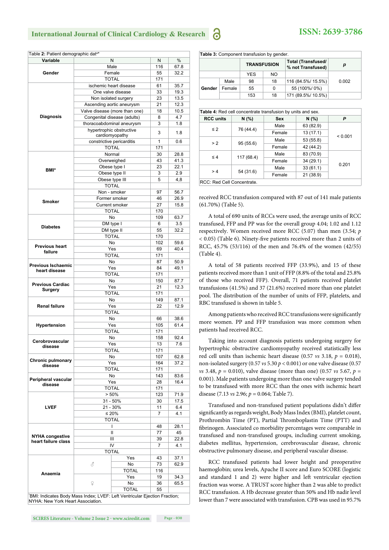| <b>Variable</b>                                                                                                                                                                                                                                                                                             | N                                          | Ν              | %    |
|-------------------------------------------------------------------------------------------------------------------------------------------------------------------------------------------------------------------------------------------------------------------------------------------------------------|--------------------------------------------|----------------|------|
|                                                                                                                                                                                                                                                                                                             | Male                                       | 116            | 67.8 |
| Gender                                                                                                                                                                                                                                                                                                      | Female                                     | 55             | 32.2 |
|                                                                                                                                                                                                                                                                                                             | <b>TOTAL</b>                               | 171            |      |
|                                                                                                                                                                                                                                                                                                             | ischemic heart disease                     | 61             | 35.7 |
|                                                                                                                                                                                                                                                                                                             | One valve disease                          | 33             | 19.3 |
|                                                                                                                                                                                                                                                                                                             | Non isolated surgery                       | 23             | 13.5 |
| Table 2: Patient demographic dat <sup>a*</sup><br><b>Diagnosis</b><br><b>BMI*</b><br>Smoker<br><b>Diabetes</b><br><b>Previous heart</b><br>failure<br>heart disease<br>Surgery<br><b>Renal failure</b><br>Hypertension<br>disease<br>disease<br>disease<br><b>LVEF</b><br><b>NYHA congestive</b><br>Anaemia | Ascending aortic aneurysm                  | 21             | 12.3 |
|                                                                                                                                                                                                                                                                                                             | Valve disease (more than one)              | 18             | 10.5 |
| Cerobrovascular<br><b>Chronic pulmonary</b><br>Peripheral vascular                                                                                                                                                                                                                                          | Congenital disease (adults)                | 8              | 4.7  |
|                                                                                                                                                                                                                                                                                                             | thoracoabdominal aneurysm                  | 3              | 1.8  |
|                                                                                                                                                                                                                                                                                                             | hypertrophic obstructive<br>cardiomyopathy | 3              | 1.8  |
|                                                                                                                                                                                                                                                                                                             | constrictive pericarditis                  | 1              | 0.6  |
|                                                                                                                                                                                                                                                                                                             | <b>TOTAL</b>                               | 171            |      |
|                                                                                                                                                                                                                                                                                                             | Normal                                     | 30             | 28.8 |
|                                                                                                                                                                                                                                                                                                             | Overweighed                                | 43             | 41.3 |
|                                                                                                                                                                                                                                                                                                             | Obese type I                               | 23             | 22.1 |
|                                                                                                                                                                                                                                                                                                             | Obese type II                              | 3              | 2.9  |
|                                                                                                                                                                                                                                                                                                             | Obese type III                             | 5              | 4,8  |
|                                                                                                                                                                                                                                                                                                             | <b>TOTAL</b>                               |                |      |
|                                                                                                                                                                                                                                                                                                             | Non - smoker                               | 97             | 56.7 |
|                                                                                                                                                                                                                                                                                                             | Former smoker                              | 46             | 26.9 |
|                                                                                                                                                                                                                                                                                                             | <b>Current smoker</b>                      | 27             | 15.8 |
|                                                                                                                                                                                                                                                                                                             | <b>TOTAL</b>                               | 170            |      |
|                                                                                                                                                                                                                                                                                                             | No                                         | 109            | 63.7 |
|                                                                                                                                                                                                                                                                                                             | DM type I                                  | 6              | 3.5  |
|                                                                                                                                                                                                                                                                                                             | DM type II                                 | 55             | 32.2 |
|                                                                                                                                                                                                                                                                                                             | <b>TOTAL</b>                               | 170            |      |
|                                                                                                                                                                                                                                                                                                             | No                                         | 102            | 59.6 |
|                                                                                                                                                                                                                                                                                                             | Yes                                        | 69             | 40.4 |
|                                                                                                                                                                                                                                                                                                             | <b>TOTAL</b>                               | 171            |      |
|                                                                                                                                                                                                                                                                                                             | No                                         | 87             | 50.9 |
| <b>Previous Ischaemic</b>                                                                                                                                                                                                                                                                                   | Yes                                        | 84             | 49.1 |
|                                                                                                                                                                                                                                                                                                             | <b>TOTAL</b>                               | 171            |      |
|                                                                                                                                                                                                                                                                                                             | No                                         | 150            | 87.7 |
| <b>Previous Cardiac</b>                                                                                                                                                                                                                                                                                     | Yes                                        | 21             | 12.3 |
|                                                                                                                                                                                                                                                                                                             | <b>TOTAL</b>                               | 171            |      |
|                                                                                                                                                                                                                                                                                                             | No                                         | 149            | 87.1 |
|                                                                                                                                                                                                                                                                                                             |                                            |                |      |
|                                                                                                                                                                                                                                                                                                             | Yes                                        | 22             | 12.9 |
|                                                                                                                                                                                                                                                                                                             | <b>TOTAL</b>                               |                |      |
|                                                                                                                                                                                                                                                                                                             | No                                         | 66             | 38.6 |
|                                                                                                                                                                                                                                                                                                             | Yes                                        | 105            | 61.4 |
|                                                                                                                                                                                                                                                                                                             | <b>TOTAL</b>                               | 171            |      |
|                                                                                                                                                                                                                                                                                                             | No                                         | 158            | 92.4 |
|                                                                                                                                                                                                                                                                                                             | Yes                                        | 13             | 7.6  |
|                                                                                                                                                                                                                                                                                                             | <b>TOTAL</b>                               | 171            |      |
|                                                                                                                                                                                                                                                                                                             | No                                         | 107            | 62.8 |
|                                                                                                                                                                                                                                                                                                             | Yes                                        | 164            | 37.2 |
|                                                                                                                                                                                                                                                                                                             | TOTAL                                      | 171            |      |
|                                                                                                                                                                                                                                                                                                             | No                                         | 143            | 83.6 |
|                                                                                                                                                                                                                                                                                                             | Yes                                        | 28             | 16.4 |
|                                                                                                                                                                                                                                                                                                             | <b>TOTAL</b>                               | 171            |      |
|                                                                                                                                                                                                                                                                                                             | > 50%                                      | 123            | 71.9 |
|                                                                                                                                                                                                                                                                                                             | $31 - 50%$                                 | 30             | 17.5 |
|                                                                                                                                                                                                                                                                                                             | 21 - 30%                                   | 11             | 6.4  |
|                                                                                                                                                                                                                                                                                                             | ≤ 20%                                      | $\overline{7}$ | 4.1  |
|                                                                                                                                                                                                                                                                                                             | <b>TOTAL</b>                               |                |      |
|                                                                                                                                                                                                                                                                                                             | T                                          | 48             | 28.1 |
|                                                                                                                                                                                                                                                                                                             | Ш                                          | 77             | 45   |
| heart failure class                                                                                                                                                                                                                                                                                         | Ш                                          | 39             | 22.8 |
|                                                                                                                                                                                                                                                                                                             | IV                                         | 7              | 4.1  |
|                                                                                                                                                                                                                                                                                                             | <b>TOTAL</b>                               |                |      |
|                                                                                                                                                                                                                                                                                                             |                                            | Yes<br>43      | 37.1 |
|                                                                                                                                                                                                                                                                                                             | 3                                          | No<br>73       | 62.9 |
|                                                                                                                                                                                                                                                                                                             |                                            | TOTAL<br>116   |      |
|                                                                                                                                                                                                                                                                                                             |                                            | Yes<br>19      | 34.3 |
|                                                                                                                                                                                                                                                                                                             |                                            | No<br>36       | 65.5 |
|                                                                                                                                                                                                                                                                                                             | ₽                                          |                |      |

**Table 3: Component transfusion by gender.** 

|        |        | <b>TRANSFUSION</b> |     | Total (Transfused/<br>% not Transfused) | D     |
|--------|--------|--------------------|-----|-----------------------------------------|-------|
|        |        | <b>YES</b>         | NO. |                                         |       |
|        | Male   | 98                 | 18  | 116 (84.5%/ 15.5%)                      | 0.002 |
| Gender | Female | 55                 | 0   | 55 (100%/0%)                            |       |
|        |        | 153                | 18  | 171 (89.5%/ 10.5%)                      |       |

| Table 4: Red cell concentrate transfusion by units and sex. |            |            |           |         |  |
|-------------------------------------------------------------|------------|------------|-----------|---------|--|
| <b>RCC</b> units                                            | N(% )      | <b>Sex</b> | N(% )     | P       |  |
| $\leq 2$                                                    |            | Male       | 63 (82.9) |         |  |
|                                                             | 76 (44.4)  | Female     | 13(17.1)  | < 0.001 |  |
| > 2                                                         |            | Male       | 53 (55.8) |         |  |
|                                                             | 95(55.6)   | Female     | 42 (44.2) |         |  |
| $\leq 4$                                                    |            | Male       | 83 (70.9) |         |  |
|                                                             | 117 (68.4) | Female     | 34(29.1)  |         |  |
| >4                                                          |            | Male       | 33(61.1)  | 0.201   |  |
|                                                             | 54 (31.6)  | Female     | 21 (38.9) |         |  |
| RCC: Red Cell Concentrate.                                  |            |            |           |         |  |

received RCC transfusion compared with 87 out of 141 male patients (61.70%) (Table 5).

A total of 690 units of RCCs were used, the average units of RCC transfused, FFP and PP was for the overall group 4.04; 1.02 and 1.12 respectively. Women received more RCC (5.07) than men (3.54; *p* < 0.05) (Table 6). Ninety-five patients received more than 2 units of RCC, 45.7% (53/116) of the men and 76.4% of the women (42/55) (Table 4).

A total of 58 patients received FFP (33.9%), and 15 of these patients received more than 1 unit of FFP (8.8% of the total and 25.8% of those who received FFP). Overall, 71 patients received platelet transfusions (41.5%) and 37 (21.6%) received more than one platelet pool. The distribution of the number of units of FFP, platelets, and RBC transfused is shown in table 5.

Among patients who received RCC transfusions were significantly more women. PP and FFP transfusion was more common when patients had received RCC.

Taking into account diagnosis patients undergoing surgery for hypertrophic obstructive cardiomyopathy received statistically less red cell units than ischemic heart disease (0.57  $\text{vs } 3.18$ ,  $p = 0.018$ ), non-isolated surgery (0.57 *vs* 5.30 *p* < 0.001) or one valve disease (0.57 *vs* 3.48,  $p = 0.010$ , valve disease (more than one) (0.57 *vs* 5.67,  $p =$ 0.001). Male patients undergoing more than one valve surgery tended to be transfused with more RCC than the ones with ischemic heart disease (7.13 *vs* 2.96; *p* = 0.064; Table 7).

Transfused and non-transfused patient populations didn't differ significantly as regards weight, Body Mass Index (BMI), platelet count, Prothrombin Time (PT), Partial Thromboplastin Time (PTT) and fibrinogen. Associated co morbidity percentages were comparable in transfused and non-transfused groups, including current smoking, diabetes mellitus, hypertension, cerebrovascular disease, chronic obstructive pulmonary disease, and peripheral vascular disease.

RCC transfused patients had lower height and preoperative haemoglobin; urea levels, Apache II score and Euro SCORE (logistic and standard 1 and 2) were higher and left ventricular ejection fraction was worse. A TRUST score higher than 2 was able to predict RCC transfusion. A Hb decrease greater than 50% and Hb nadir level lower than 7 were associated with transfusion. CPB was used in 95.7%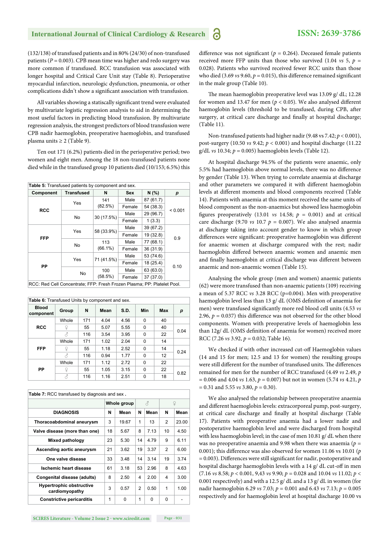(132/138) of transfused patients and in 80% (24/30) of non-transfused patients ( $P = 0.003$ ). CPB mean time was higher and redo surgery was more common if transfused. RCC transfusion was associated with longer hospital and Critical Care Unit stay (Table 8). Perioperative myocardial infarction, neurologic dysfunction, pneumonia, or other complications didn't show a significant association with transfusion.

All variables showing a statiscally significant trend were evaluated by multivariate logistic regression analysis to aid in determining the most useful factors in predicting blood transfusion. By multivariate regression analysis, the strongest predictors of blood transfusion were CPB nadir haemoglobin, preoperative haemoglobin, and transfused plasma units  $\geq 2$  (Table 9).

Ten out 171 (6.2%) patients died in the perioperative period; two women and eight men. Among the 18 non-transfused patients none died while in the transfused group 10 patients died (10/153; 6.5%) this

| Table 5: Transfused patients by component and sex. |                   |            |            |           |         |  |
|----------------------------------------------------|-------------------|------------|------------|-----------|---------|--|
| Component                                          | <b>Transfused</b> | N          | <b>Sex</b> | N(% )     | р       |  |
|                                                    | Yes               | 141        | Male       | 87 (61.7) |         |  |
| <b>RCC</b>                                         |                   | (82.5%)    | Female     | 54 (38.3) | < 0.001 |  |
|                                                    | <b>No</b>         | 30 (17.5%) | Male       | 29 (96.7) |         |  |
|                                                    |                   |            | Female     | 1(3.3)    |         |  |
|                                                    |                   |            | Male       | 39 (67.2) | 0.9     |  |
| <b>FFP</b>                                         | Yes               | 58 (33.9%) | Female     | 19 (32.8) |         |  |
|                                                    |                   | 113        | Male       | 77 (68.1) |         |  |
|                                                    | <b>No</b>         | $(66.1\%)$ | Female     | 36 (31.9) |         |  |
|                                                    |                   |            | Male       | 53 (74.6) |         |  |
| PP                                                 | Yes               | 71 (41.5%) | Female     | 18 (25.4) |         |  |
|                                                    |                   | 100        | Male       | 63 (63.0) | 0.10    |  |
|                                                    | No                | (58.5%)    | Female     | 37(37.0)  |         |  |

RCC: Red Cell Concentrate; FFP: Fresh Frozen Plasma; PP: Platelet Pool.

| Table 6: Transfused Units by component and sex. |       |     |      |      |          |     |      |  |
|-------------------------------------------------|-------|-----|------|------|----------|-----|------|--|
| <b>Blood</b><br>component                       | Group | N   | Mean | S.D. | Min      | Max | р    |  |
|                                                 | Whole | 171 | 4.04 | 4.56 | $\Omega$ | 40  |      |  |
| <b>RCC</b>                                      | ¥     | 55  | 5.07 | 5.55 | $\Omega$ | 40  | 0.04 |  |
|                                                 | 8     | 116 | 3.54 | 3.95 | $\Omega$ | 22  |      |  |
|                                                 | Whole | 171 | 1.02 | 2.04 | $\Omega$ | 14  |      |  |
| <b>FFP</b>                                      | ¥     | 55  | 1.18 | 2.52 | $\Omega$ | 14  | 0.24 |  |
|                                                 | б     | 116 | 0.94 | 1.77 | $\Omega$ | 12  |      |  |
|                                                 | Whole | 171 | 1.12 | 2.72 | $\Omega$ | 22  |      |  |
| PP                                              | ¥     | 55  | 1.05 | 3.15 | $\Omega$ | 22  | 0.82 |  |
|                                                 | 8     | 116 | 1.16 | 2.51 | 0        | 18  |      |  |

| Table 7: RCC transfused by diagnosis and sex.     |    |             |    |          |                |       |  |
|---------------------------------------------------|----|-------------|----|----------|----------------|-------|--|
|                                                   |    | Whole group |    | 3        | ¥              |       |  |
| <b>DIAGNOSIS</b>                                  | N  | Mean        | N  | Mean     | N              | Mean  |  |
| Thoracoabdominal aneurysm                         | 3  | 19.67       | 1  | 13       | $\overline{2}$ | 23.00 |  |
| Valve disease (more than one)                     | 18 | 5.67        | 8  | 7.13     | 10             | 4.50  |  |
| Mixed pathology                                   | 23 | 5.30        | 14 | 4.79     | 9              | 6.11  |  |
| Ascending aortic aneurysm                         | 21 | 3.62        | 19 | 3.37     | 2              | 6.00  |  |
| One valve disease                                 | 33 | 3.48        | 14 | 3.14     | 19             | 3.74  |  |
| Ischemic heart disease                            | 61 | 3.18        | 53 | 2.96     | 8              | 4.63  |  |
| Congenital disease (adults)                       | 8  | 2.50        | 4  | 2.00     | 4              | 3.00  |  |
| <b>Hypertrophic obstructive</b><br>cardiomyopathy | 3  | 0.57        | 2  | 0.50     | 1              | 1.00  |  |
| <b>Constrictive pericarditis</b>                  | 1  | $\Omega$    | 1  | $\Omega$ | 0              |       |  |

difference was not significant ( $p = 0.264$ ). Deceased female patients received more FFP units than those who survived (1.04  $vs$  5,  $p =$ 0.028). Patients who survived received fewer RCC units than those who died (3.69  $vs$  9.60,  $p = 0.015$ ), this difference remained significant in the male group (Table 10).

The mean haemoglobin preoperative level was  $13.09$  g/ dL;  $12.28$ for women and 13.47 for men ( $p < 0.05$ ). We also analysed different haemoglobin levels (threshold to be transfused, during CPB, after surgery, at critical care discharge and finally at hospital discharge; (Table 11).

Non-transfused patients had higher nadir (9.48 vs 7.42; *p* < 0.001), post-surgery (10.50 *vs* 9.42; *p* < 0.001) and hospital discharge (11.22 g/dL *vs* 10.34; *p* = 0.005) haemoglobin levels (Table 12).

At hospital discharge 94.5% of the patients were anaemic, only 5.5% had haemoglobin above normal levels, there was no difference by gender (Table 13). When trying to correlate anaemia at discharge and other parameters we compared it with different haemoglobin levels at different moments and blood components received (Table 14). Patients with anaemia at this moment received the same units of blood component as the non-anaemics but showed less haemoglobin figures preoperatively (13.01  $vs$  14.58;  $p = 0.001$ ) and at critical care discharge (9.70  $\upsilon$ s 10.7  $p = 0.007$ ). We also analysed anaemia at discharge taking into account gender to know in which group differences were significant: preoperative haemoglobin was different for anaemic women at discharge compared with the rest; nadir haemoglobin differed between anaemic women and anaemic men and finally haemoglobin at critical discharge was different between anaemic and non-anaemic women (Table 15).

Analysing the whole group (men and women) anaemic patients (62) were more transfused than non-anaemic patients (109) receiving a mean of 5.37 RCC *vs* 3.28 RCC (p=0.004). Men with preoperative haemoglobin level less than 13 g/ dL (OMS definition of anaemia for men) were transfused significantly more red blood cell units (4.53 *vs* 2.96,  $p = 0.037$ ) this difference was not observed for the other blood components. Women with preoperative levels of haemoglobin less than 12g/ dL (OMS definition of anaemia for women) received more RCC (7.26 *vs* 3.92, *p* = 0.032; Table 16).

We checked if with other increased cut-off Haemoglobin values (14 and 15 for men; 12.5 and 13 for women) the resulting groups were still different for the number of transfused units. The differences remained for men for the number of RCC transfused (4.49 *vs* 2.49, *p* = 0.006 and 4.04 *vs* 1.63, *p* = 0.007) but not in women (5.74 *vs* 4.21, *p*  = 0.31 and 5.55 *vs* 3.80, *p* = 0.30).

We also analysed the relationship between preoperative anaemia and different haemoglobin levels: extracorporeal pump, post-surgery, at critical care discharge and finally at hospital discharge (Table 17). Patients with preoperative anaemia had a lower nadir and postoperative haemoglobin level and were discharged from hospital with less haemoglobin level; in the case of men 10.81 g/ dL when there was no preoperative anaemia and 9.98 when there was anaemia (*p* = 0.001); this difference was also observed for women  $11.06$  vs  $10.01$  ( $p$  $= 0.003$ ). Differences were still significant for nadir, postoperative and hospital discharge haemoglobin levels with a 14 g/ dL cut-off in men (7.16 *vs* 8.58; *p* < 0.001, 9,43 *vs* 9.90; *p* = 0.028 and 10.04 *vs* 11.02; *p* < 0.001 respectively) and with a 12.5 g/ dL and a 13 g/ dL in women (for nadir haemoglobin 6.29 *vs* 7.03; *p* = 0.001 and 6.43 *vs* 7.13; *p* = 0.005 respectively and for haemoglobin level at hospital discharge 10.00 vs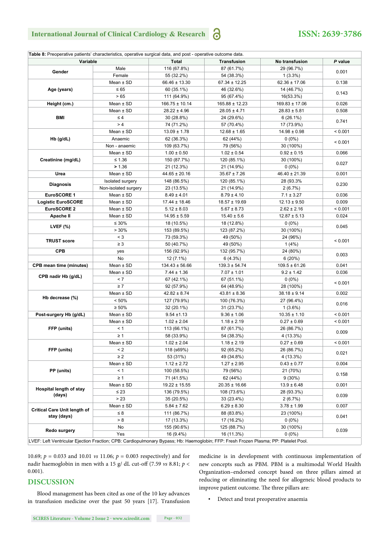## **ISSN: 2639-3786**

| Table 8: Preoperative patients' characteristics, operative surgical data, and post - operative outcome data. |                      |                    |                    |                    |         |
|--------------------------------------------------------------------------------------------------------------|----------------------|--------------------|--------------------|--------------------|---------|
| Variable                                                                                                     |                      | <b>Total</b>       | <b>Transfusion</b> | No transfusion     | P value |
|                                                                                                              | Male                 | 116 (67.8%)        | 87 (61.7%)         | 29 (96.7%)         |         |
| Gender                                                                                                       | Female               | 55 (32.2%)         | 54 (38.3%)         | $1(3.3\%)$         | 0.001   |
|                                                                                                              | Mean $\pm$ SD        | $66.46 \pm 13.30$  | $67.34 \pm 12.25$  | $62.36 \pm 17.06$  | 0.138   |
| Age (years)                                                                                                  | $\leq 65$            | 60 (35.1%)         | 46 (32.6%)         | 14 (46.7%)         |         |
|                                                                                                              | >65                  | 111 (64.9%)        | 95 (67.4%)         | 16(53.3%)          | 0.143   |
| Height (cm.)                                                                                                 | Mean $\pm$ SD        | $166.75 \pm 10.14$ | $165.88 \pm 12.23$ | $169.83 \pm 17.06$ | 0.026   |
|                                                                                                              | Mean $\pm$ SD        | $28.22 \pm 4.96$   | $28.05 \pm 4.71$   | $28.83 \pm 5.81$   | 0.508   |
| BMI                                                                                                          | $\leq 4$             | 30 (28.8%)         | 24 (29.6%)         | 6(26.1%)           |         |
|                                                                                                              | > 4                  | 74 (71.2%)         | 57 (70.4%)         | 17 (73.9%)         | 0.741   |
|                                                                                                              | Mean $\pm$ SD        | $13.09 \pm 1.78$   | $12.68 \pm 1.65$   | $14.98 \pm 0.98$   | < 0.001 |
| $Hb$ (g/dL)                                                                                                  | Anaemic              | 62 (36.3%)         | 62 (44%)           | $0(0\%)$           |         |
|                                                                                                              | Non - anaemic        | 109 (63.7%)        | 79 (56%)           | 30 (100%)          | < 0.001 |
|                                                                                                              | Mean $\pm$ SD        | $1.00 \pm 0.50$    | $1.02 \pm 0.54$    | $0.92 \pm 0.15$    | 0.066   |
| Creatinine (mg/dL)                                                                                           | $≤ 1.36$             | 150 (87.7%)        | 120 (85.1%)        | 30 (100%)          |         |
|                                                                                                              | > 1.36               | 21 (12.3%)         | 21 (14.9%)         | $0(0\%)$           | 0.027   |
| Urea                                                                                                         | Mean $±$ SD          | $44.65 \pm 20.16$  | $35.67 \pm 7.26$   | $46.40 \pm 21.39$  | 0.001   |
|                                                                                                              | Isolated surgery     | 148 (86.5%)        | 120 (85.1%)        | 28 (93.3%)         |         |
| <b>Diagnosis</b>                                                                                             | Non-isolated surgery | 23 (13.5%)         | 21 (14.9%)         | 2(6.7%)            | 0.230   |
| EuroSCORE 1                                                                                                  | Mean $±$ SD          | $8.49 \pm 4.01$    | $8.79 \pm 4.10$    | $7.1 \pm 3.27$     | 0.036   |
| <b>Logistic EuroSCORE</b>                                                                                    | Mean $±$ SD          | $17.44 \pm 18.46$  | $18.57 \pm 19.69$  | $12.13 \pm 9.50$   | 0.009   |
| EuroSCORE 2                                                                                                  | Mean $±$ SD          | $5.12 \pm 8.03$    | $5.67 \pm 8.73$    | $2.62 \pm 2.16$    | < 0.001 |
| Apache II                                                                                                    | Mean $±$ SD          | $14.95 \pm 5.59$   | $15.40 \pm 5.6$    | $12.87 \pm 5.13$   | 0.024   |
|                                                                                                              | $\leq 30\%$          | 18 (10.5%)         | 18 (12.8%)         | $0(0\%)$           |         |
| LVEF $(\%)$                                                                                                  | >30%                 | 153 (89.5%)        | 123 (87.2%)        | 30 (100%)          | 0.045   |
| <b>TRUST score</b>                                                                                           | $<$ 3                | 73 (59.3%)         | 49 (50%)           | 24 (96%)           |         |
|                                                                                                              | $\geq 3$             | 50 (40.7%)         | 49 (50%)           | 1(4%)              | < 0.001 |
| <b>CPB</b>                                                                                                   | yes                  | 156 (92.9%)        | 132 (95.7%)        | 24 (80%)           |         |
|                                                                                                              | No                   | 12 (7.1%)          | 6(4.3%)            | 6(20%)             | 0.003   |
| <b>CPB mean time (minutes)</b>                                                                               | Mean $±$ SD          | $134.43 \pm 56.66$ | $139.3 \pm 54.74$  | $109.5 \pm 61.26$  | 0.041   |
|                                                                                                              | Mean $\pm$ SD        | $7.44 \pm 1.36$    | $7.07 \pm 1.01$    | $9.2 \pm 1.42$     | 0.036   |
| CPB nadir Hb (g/dL)                                                                                          | < 7                  | 67 (42.1%)         | 67 (51.1%)         | $0(0\%)$           |         |
|                                                                                                              | $\geq 7$             | 92 (57.9%)         | 64 (48.9%)         | 28 (100%)          | < 0.001 |
|                                                                                                              | Mean $±$ SD          | $42.82 \pm 8.74$   | $43.81 \pm 8.36$   | $38.18 \pm 9.14$   | 0.002   |
| Hb decrease (%)                                                                                              | $< 50\%$             | 127 (79.9%)        | 100 (76.3%)        | 27 (96.4%)         |         |
|                                                                                                              | $\geq 50\%$          | 32 (20.1%)         | 31 (23.7%)         | $1(3.6\%)$         | 0.016   |
| Post-surgery Hb (g/dL)                                                                                       | Mean $\pm$ SD        | $9.54 \pm 1.13$    | $9.36 \pm 1.06$    | $10.35 \pm 1.10$   | < 0.001 |
|                                                                                                              | Mean $\pm$ SD        | $1.02 \pm 2.04$    | $1.18 \pm 2.19$    | $0.27 \pm 0.69$    | < 0.001 |
| FFP (units)                                                                                                  | < 1                  | 113 (66.1%)        | 87 (61.7%)         | 26 (86.7%)         |         |
|                                                                                                              | $\geq 1$             | 58 (33.9%)         | 54 (38.3%)         | 4 (13.3%)          | 0.009   |
|                                                                                                              | Mean $\pm$ SD        | $1.02 \pm 2.04$    | $1.18 \pm 2.19$    | $0.27 \pm 0.69$    | < 0.001 |
| FFP (units)                                                                                                  | $\leq$ 2             | 118 (s69%)         | 92 (65.2%)         | 26 (86.7%)         |         |
|                                                                                                              | $\geq$ 2             | 53 (31%)           | 49 (34.8%)         | 4 (13.3%)          | 0.021   |
|                                                                                                              | Mean $\pm$ SD        | $1.12 \pm 2.72$    | $1.27 \pm 2.95$    | $0.43 \pm 0.77$    | 0.004   |
| PP (units)                                                                                                   | < 1                  | 100 (58.5%)        | 79 (56%)           | 21 (70%)           |         |
|                                                                                                              | $\geq 1$             | 71 (41.5%)         | 62 (44%)           | $9(30\%)$          | 0.158   |
|                                                                                                              | Mean $\pm$ SD        | $19.22 \pm 15.55$  | $20.35 \pm 16.66$  | $13.9 \pm 6.48$    | 0.001   |
| Hospital length of stay                                                                                      | $\leq 23$            | 136 (79.5%)        | 108 (73.6%)        | 28 (93.3%)         |         |
| (days)                                                                                                       | > 23                 | 35 (20.5%)         | 33 (23.4%)         | 2(6.7%)            | 0.039   |
|                                                                                                              | Mean $\pm$ SD        | $5.84 \pm 7.62$    | $6.29 \pm 8.30$    | $3.78 \pm 1.99$    | 0.007   |
| <b>Critical Care Unit length of</b>                                                                          | $\leq 8$             | 111 (86.7%)        | 88 (83.8%)         | 23 (100%)          |         |
| stay (days)                                                                                                  | > 8                  | 17 (13.3%)         | 17 (16.2%)         | $0(0\%)$           | 0.041   |
|                                                                                                              | No                   | 155 (90.6%)        | 125 (88.7%)        | 30 (100%)          |         |
| Redo surgery                                                                                                 | Yes                  | 16 (9.4%)          | 16 (11.3%)         | $0(0\%)$           | 0.039   |
|                                                                                                              |                      |                    |                    |                    |         |

LVEF: Left Ventricular Ejection Fraction; CPB: Cardiopulmonary Bypass; Hb: Haemoglobin; FFP: Fresh Frozen Plasma; PP: Platelet Pool.

10.69; *p* = 0.033 and 10.01 *vs* 11.06; *p* = 0.003 respectively) and for nadir haemoglobin in men with a 15 g/ dL cut-off (7.59 *vs* 8.81; *p* < 0.001).

#### **DISCUSSION**

Blood management has been cited as one of the 10 key advances in transfusion medicine over the past 50 years [17]. Transfusion medicine is in development with continuous implementation of new concepts such as PBM. PBM is a multimodal World Health Organization–endorsed concept based on three pillars aimed at reducing or eliminating the need for allogeneic blood products to improve patient outcome. The three pillars are:

• Detect and treat preoperative anaemia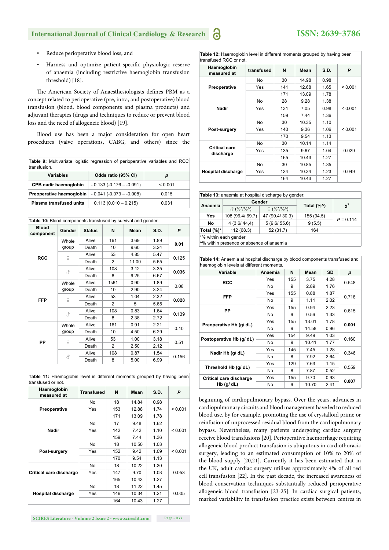- Reduce perioperative blood loss, and
- Harness and optimize patient-specific physiologic reserve of anaemia (including restrictive haemoglobin transfusion threshold) [18].

The American Society of Anaesthesiologists defines PBM as a concept related to perioperative (pre, intra, and postoperative) blood transfusion (blood, blood components and plasma products) and adjuvant therapies (drugs and techniques to reduce or prevent blood loss and the need of allogeneic blood) [19].

Blood use has been a major consideration for open heart procedures (valve operations, CABG, and others) since the

 **Table 9:** Multivariate logistic regression of perioperative variables and RCC transfusion.

| Variables                                                 | Odds ratio (95% CI)      |         |
|-----------------------------------------------------------|--------------------------|---------|
| CPB nadir haemoglobin                                     | $-0.133(-0.176 - 0.091)$ | < 0.001 |
| <b>Preoperative haemoglobin</b> $-0.041 (-0.073 - 0.008)$ |                          | 0.015   |
| <b>Plasma transfused units</b>                            | $0.113(0.010 - 0.215)$   | 0.031   |

| <b>Blood</b><br>component | Gender | <b>Status</b> | N                                                                                                                                                                                                                                                                                                                                                                                                                                                                                                  | Mean | S.D. | P     |  |
|---------------------------|--------|---------------|----------------------------------------------------------------------------------------------------------------------------------------------------------------------------------------------------------------------------------------------------------------------------------------------------------------------------------------------------------------------------------------------------------------------------------------------------------------------------------------------------|------|------|-------|--|
|                           | Whole  | Alive         | Table 10: Blood components transfused by survival and gender.<br>161<br>3.69<br>1.89<br>10<br>9.60<br>3.24<br>53<br>4.85<br>5.47<br>$\overline{2}$<br>11.00<br>5.65<br>108<br>3.12<br>3.35<br>8<br>9.25<br>6.67<br>1s61<br>1.89<br>0.90<br>10<br>2.90<br>3.24<br>53<br>1.04<br>2.32<br>$\overline{2}$<br>5.65<br>5<br>108<br>0.83<br>1.64<br>2.38<br>8<br>2.72<br>161<br>2.21<br>0.91<br>10<br>4.50<br>6.29<br>1.00<br>53<br>3.18<br>2.12<br>2<br>2.50<br>108<br>1.54<br>0.87<br>8<br>5.00<br>6.99 | 0.01 |      |       |  |
|                           | group  | Death         |                                                                                                                                                                                                                                                                                                                                                                                                                                                                                                    |      |      |       |  |
| <b>RCC</b>                |        | Alive         |                                                                                                                                                                                                                                                                                                                                                                                                                                                                                                    |      |      | 0.125 |  |
|                           | ¥      | Death         |                                                                                                                                                                                                                                                                                                                                                                                                                                                                                                    |      |      |       |  |
|                           | 8      | Alive         |                                                                                                                                                                                                                                                                                                                                                                                                                                                                                                    |      |      |       |  |
|                           |        | Death         |                                                                                                                                                                                                                                                                                                                                                                                                                                                                                                    |      |      | 0.036 |  |
|                           | Whole  | Alive         |                                                                                                                                                                                                                                                                                                                                                                                                                                                                                                    |      |      | 0.08  |  |
|                           | group  | Death         |                                                                                                                                                                                                                                                                                                                                                                                                                                                                                                    |      |      |       |  |
| <b>FFP</b>                | ¥      | Alive         |                                                                                                                                                                                                                                                                                                                                                                                                                                                                                                    |      |      | 0.028 |  |
|                           |        | Death         |                                                                                                                                                                                                                                                                                                                                                                                                                                                                                                    |      |      |       |  |
|                           |        | Alive         |                                                                                                                                                                                                                                                                                                                                                                                                                                                                                                    |      |      | 0.139 |  |
|                           | 8      | Death         |                                                                                                                                                                                                                                                                                                                                                                                                                                                                                                    |      |      |       |  |
|                           | Whole  | Alive         |                                                                                                                                                                                                                                                                                                                                                                                                                                                                                                    |      |      | 0.10  |  |
|                           | group  | Death         |                                                                                                                                                                                                                                                                                                                                                                                                                                                                                                    |      |      |       |  |
| PP                        |        | Alive         |                                                                                                                                                                                                                                                                                                                                                                                                                                                                                                    |      |      | 0.51  |  |
|                           | ¥      | Death         |                                                                                                                                                                                                                                                                                                                                                                                                                                                                                                    |      |      |       |  |
|                           |        | Alive         |                                                                                                                                                                                                                                                                                                                                                                                                                                                                                                    |      |      |       |  |
|                           | 8      | Death         |                                                                                                                                                                                                                                                                                                                                                                                                                                                                                                    |      |      | 0.156 |  |

| <b>Table 11:</b> Haemoglobin level in different moments grouped by having been |  |  |  |  |
|--------------------------------------------------------------------------------|--|--|--|--|
| transfused or not.                                                             |  |  |  |  |

| Haemoglobin<br>measured at | <b>Transfused</b> | N   | Mean  | S.D. | P       |
|----------------------------|-------------------|-----|-------|------|---------|
|                            | No                | 18  | 14.84 | 0.98 |         |
| Preoperative               | Yes               | 153 | 12.88 | 1.74 | < 0.001 |
|                            |                   | 171 | 13.09 | 1.78 |         |
|                            | No                | 17  | 9.48  | 1.62 |         |
| Nadir                      | Yes               | 142 | 7.42  | 1.10 | < 0.001 |
|                            |                   | 159 | 7.44  | 1.36 |         |
|                            | No                | 18  | 10.50 | 1.03 |         |
| Post-surgery               | Yes               | 152 | 9.42  | 1.09 | < 0.001 |
|                            |                   | 170 | 9.54  | 1.13 |         |
|                            | No                | 18  | 10.22 | 1.30 |         |
| Critical care discharge    | Yes               | 147 | 9.70  | 1.03 | 0.053   |
|                            |                   | 165 | 10.43 | 1.27 |         |
|                            | No                | 18  | 11.22 | 1.45 |         |
| Hospital discharge         | Yes               | 146 | 10.34 | 1.21 | 0.005   |
|                            |                   | 164 | 10.43 | 1.27 |         |

6

| transiused RCC of not.            |            |     |       |      |         |  |  |
|-----------------------------------|------------|-----|-------|------|---------|--|--|
| Haemoglobin<br>measured at        | transfused | N   | Mean  | S.D. | P       |  |  |
|                                   | No         | 30  | 14.98 | 0.98 |         |  |  |
| Preoperative                      | Yes        | 141 | 12.68 | 1.65 | < 0.001 |  |  |
|                                   |            | 171 | 13.09 | 1.78 |         |  |  |
|                                   | No         | 28  | 9.28  | 1.38 |         |  |  |
| Nadir                             | Yes        | 131 | 7.05  | 0.98 | < 0.001 |  |  |
|                                   |            | 159 | 7.44  | 1.36 |         |  |  |
| Post-surgery                      | No         | 30  | 10.35 | 1.10 | < 0.001 |  |  |
|                                   | Yes        | 140 | 9.36  | 1.06 |         |  |  |
|                                   |            | 170 | 9.54  | 1.13 |         |  |  |
| <b>Critical care</b><br>discharge | No         | 30  | 10.14 | 1.14 | 0.029   |  |  |
|                                   | Yes        | 135 | 9.67  | 1.04 |         |  |  |
|                                   |            | 165 | 10.43 | 1.27 |         |  |  |
| Hospital discharge                | No         | 30  | 10.85 | 1.35 |         |  |  |
|                                   | Yes        | 134 | 10.34 | 1.23 | 0.049   |  |  |
|                                   |            | 164 | 10.43 | 1.27 |         |  |  |

#### **Table 13:** anaemia at hospital discharge by gender.

| Anaemia               |                 | Gender                 | Total $(\%^{\wedge})$ |                |  |  |
|-----------------------|-----------------|------------------------|-----------------------|----------------|--|--|
|                       | $\beta$ (%*/%^) | $\mathfrak{D}$ (%*/%^) |                       | $\mathbf{X}^2$ |  |  |
| Yes                   | 108 (96.4/69.7) | 47 (90.4/30.3)         | 155 (94.5)            | $P = 0.114$    |  |  |
| No                    | 4(3.6/44.4)     | 5(9.6/55.6)            | 9(5.5)                |                |  |  |
| Total $(\%)^*$        | 112 (68.3)      | 52 (31.7)              | 164                   |                |  |  |
| *% within each gender |                 |                        |                       |                |  |  |

^% within presence or absence of anaemia

 **Table 14:** Anaemia at hospital discharge by blood components transfused and haemoglobin levels at different moments

| Variable                 | Anaemia | N   | Mean  | <b>SD</b> | р     |  |
|--------------------------|---------|-----|-------|-----------|-------|--|
| <b>RCC</b>               | Yes     | 155 | 3.75  | 4.28      | 0.548 |  |
|                          | No      | 9   | 2.89  | 1.76      |       |  |
| <b>FFP</b>               | Yes     | 155 | 0.88  | 1.87      | 0.718 |  |
|                          | No      | 9   | 1.11  | 2.02      |       |  |
| PP                       | Yes     | 155 | 0.94  | 2.23      |       |  |
|                          | No      | 9   | 0.56  | 1.33      | 0.615 |  |
| Preoperative Hb (g/ dL)  | Yes     | 155 | 13.01 | 1.78      | 0.001 |  |
|                          | No      | 9   | 14.58 | 0.96      |       |  |
|                          | Yes     | 154 | 9.49  | 1.03      | 0.160 |  |
| Postoperative Hb (g/ dL) | No      | 9   | 10.41 | 1.77      |       |  |
|                          | Yes     | 145 | 7.45  | 1.28      | 0.346 |  |
| Nadir Hb (g/ dL)         | No      | 8   | 7.92  | 2.64      |       |  |
| Threshold Hb (g/ dL)     | Yes     | 129 | 7.63  | 1.15      | 0.559 |  |
|                          | No      | 8   | 7.87  | 0.52      |       |  |
| Critical care discharge  | Yes     | 155 | 9.70  | 0.93      |       |  |
| Hb $(g/dL)$              | No      | 9   | 10.70 | 2.41      | 0.007 |  |

beginning of cardiopulmonary bypass. Over the years, advances in cardiopulmonary circuits and blood management have led to reduced blood use, by for example, promoting the use of crystalloid prime or reinfusion of unprocessed residual blood from the cardiopulmonary bypass. Nevertheless, many patients undergoing cardiac surgery receive blood transfusions [20]. Perioperative haemorrhage requiring allogeneic blood product transfusion is ubiquitous in cardiothoracic surgery, leading to an estimated consumption of 10% to 20% of the blood supply [20,21]. Currently it has been estimated that in the UK, adult cardiac surgery utilises approximately 4% of all red cell transfusion [22]. In the past decade, the increased awareness of blood conservation techniques substantially reduced perioperative allogeneic blood transfusion [23-25]. In cardiac surgical patients, marked variability in transfusion practice exists between centres in

# **ISSN: 2639-3786**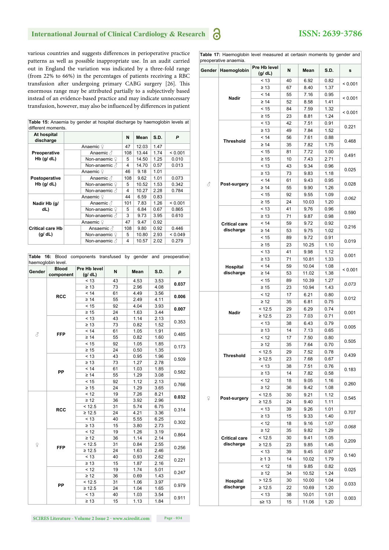## **ISSN: 2639-3786**

various countries and suggests differences in perioperative practice patterns as well as possible inappropriate use. In an audit carried out in England the variation was indicated by a three-fold range (from 22% to 66%) in the percentages of patients receiving a RBC transfusion after undergoing primary CABG surgery [26]. This enormous range may be attributed partially to a subjectively based instead of an evidence-based practice and may indicate unnecessary transfusion, however, may also be influenced by differences in patient

| different moments.       | Table 15: Anaemia by gender at hospital discharge by haemoglobin levels at |     |       |      |         |
|--------------------------|----------------------------------------------------------------------------|-----|-------|------|---------|
| At hospital<br>discharge |                                                                            | N   | Mean  | S.D. | P       |
|                          | Anaemic ?                                                                  | 47  | 12.03 | 1.47 |         |
| Preoperative             | Anaemic $\beta$                                                            | 108 | 13.44 | 1.74 | < 0.001 |
| $Hb$ (g/ dL)             | Non-anaemic ?                                                              | 5   | 14.50 | 1.25 | 0.010   |
|                          | Non-anaemic &                                                              | 4   | 14.70 | 0.57 | 0.013   |
|                          | Anaemic ?                                                                  | 46  | 9.18  | 1.01 |         |
| Postoperative            | Anaemic $\beta$                                                            | 108 | 9.62  | 1.01 | 0.073   |
| $Hb$ (g/ dL)             | Non-anaemic ?                                                              | 5   | 10.52 | 1.53 | 0.342   |
|                          | Non-anaemic . ∂                                                            | 4   | 10.27 | 2.28 | 0.784   |
|                          | Anaemic ?                                                                  | 44  | 6.59  | 0.83 |         |
| Nadir Hb (g/             | Anaemic $\beta$                                                            | 101 | 7.83  | 1.26 | < 0.001 |
| dL)                      | Non-anaemic ?                                                              | 5   | 6.84  | 0.67 | 0.865   |
|                          | Non-anaemic &                                                              | 3   | 9.73  | 3.95 | 0.610   |
|                          | Anaemic ?                                                                  | 47  | 9.47  | 0.92 |         |
| <b>Critical care Hb</b>  | Ansaemic &                                                                 | 108 | 9.80  | 0.92 | 0.446   |
| (g/dL)                   | Non-anaemic ?                                                              | 5   | 10.80 | 2.93 | < 0.049 |
|                          | Non-anaemic $\triangle$                                                    | 4   | 10.57 | 2.02 | 0.279   |

|          | haemoglobin level.        | Table 16: Blood components transfused by gender and preoperative |    |      |      |                |  |
|----------|---------------------------|------------------------------------------------------------------|----|------|------|----------------|--|
| Gender   | <b>Blood</b><br>component | Pre Hb level<br>(g/dL)                                           | N  | Mean | S.D. | р              |  |
|          |                           | < 13                                                             | 43 | 4.53 | 3.53 |                |  |
|          |                           | $\geq 13$                                                        | 73 | 2.96 | 4.08 | 0.037          |  |
|          | <b>RCC</b>                | < 14                                                             | 61 | 4.49 | 3.56 |                |  |
|          |                           | $\geq 14$                                                        | 55 | 2.49 | 4.11 | 0.006          |  |
|          |                           | < 15                                                             | 92 | 4.04 | 3.93 | 0.007          |  |
|          |                           | $\geq 15$                                                        | 24 | 1.63 | 3.44 |                |  |
|          |                           | < 13                                                             | 43 | 1.14 | 2.13 | 0.353          |  |
|          |                           | $\geq 13$                                                        | 73 | 0.82 | 1.52 |                |  |
| 8        | <b>FFP</b>                | < 14                                                             | 61 | 1.05 | 1.91 | 0.485          |  |
|          |                           | $\geq 14$                                                        | 55 | 0.82 | 1.60 |                |  |
|          |                           | < 15                                                             | 92 | 1.05 | 1.85 | 0.173          |  |
|          |                           | $\geq 15$                                                        | 24 | 0.50 | 1.35 |                |  |
|          |                           | < 13                                                             | 43 | 0.95 | 1.96 | 0.509          |  |
|          |                           | $\geq 13$                                                        | 73 | 1.27 | 2.78 |                |  |
|          | PP                        | < 14                                                             | 61 | 1.03 | 1.85 | 0.582          |  |
|          |                           | $\geq 14$                                                        | 55 | 1.29 | 3.08 |                |  |
|          |                           | < 15                                                             | 92 | 1.12 | 2.13 | 0.766          |  |
|          |                           | $\geq 15$                                                        | 24 | 1.29 | 3.65 |                |  |
|          | <b>RCC</b>                | < 12                                                             | 19 | 7.26 | 8.21 | 0.032          |  |
|          |                           | $\geq 12$                                                        | 36 | 3.92 | 2.96 |                |  |
|          |                           | < 12.5                                                           | 31 | 5.74 | 6.75 | 0.314          |  |
|          |                           | $\geq 12.5$                                                      | 24 | 4.21 | 3.36 |                |  |
|          |                           | < 13                                                             | 40 | 5.55 | 6.25 | 0.302          |  |
|          |                           | $\geq 13$                                                        | 15 | 3.80 | 2.73 |                |  |
|          |                           | < 12                                                             | 19 | 1.26 | 3.19 | 0.864          |  |
|          |                           | $\geq 12$                                                        | 36 | 1.14 | 2.14 |                |  |
| $\Omega$ | <b>FFP</b>                | < 12.5                                                           | 31 | 0.84 | 2.55 | 0.256          |  |
|          |                           | $\geq 12.5$                                                      | 24 | 1.63 | 2.46 |                |  |
|          |                           | < 13                                                             | 40 | 0.93 | 2.62 | 0.221          |  |
|          |                           | $\geq 13$                                                        | 15 | 1.87 | 2.16 |                |  |
|          | PP                        | < 12                                                             | 19 | 1.74 | 5.01 | 0.247          |  |
|          |                           | $\geq 12$                                                        | 36 | 0.69 | 1.43 |                |  |
|          |                           | < 12.5                                                           | 31 | 1.06 | 3.97 | 0.979<br>0.911 |  |
|          |                           | $\geq$ 12.5                                                      | 24 | 1.04 | 1.65 |                |  |
|          |                           | < 13                                                             | 40 | 1.03 | 3.54 |                |  |
|          |                           | $\geq 13$                                                        | 15 | 1.13 | 1.84 |                |  |

 **Table 17:** Haemoglobin level measured at certasin moments by gender and preoperative anaemia.

| Gender | Haemoglobin          | Pre Hb level<br>(g/dL) | N        | Mean          | S.D.         | s       |
|--------|----------------------|------------------------|----------|---------------|--------------|---------|
|        |                      | < 13                   | 40       | 6.92          | 0.82         |         |
|        |                      | $\geq 13$              | 67       | 8.40          | 1.37         | < 0.001 |
|        |                      | < 14                   | 55       | 7.16          | 0.95         |         |
|        | Nadir                | $\geq 14$              | 52       | 8.58          | 1.41         | < 0.001 |
|        |                      | < 15                   | 84       | 7.59          | 1.32         | < 0.001 |
|        |                      | $\geq 15$              | 23       | 8.81          | 1.24         |         |
|        |                      | < 13                   | 42       | 7.51          | 0.91         | 0.221   |
|        |                      | $\geq 13$              | 49       | 7.84          | 1.52         |         |
|        | <b>Threshold</b>     | < 14                   | 56       | 7.61          | 0.88         | 0.468   |
|        |                      | $\geq 14$              | 35       | 7.82          | 1.75         |         |
|        |                      | < 15                   | 81       | 7.72          | 1.00         | 0.491   |
|        |                      | $\geq 15$              | 10       | 7.43          | 2.71         |         |
|        |                      | < 13                   | 43       | 9.34          | 0.96         | 0.025   |
|        |                      | $\geq 13$              | 73       | 9.83          | 1.18         |         |
| 8      | Post-surgery         | < 14                   | 61       | 9.43          | 0.95         | 0.028   |
|        |                      | $\geq 14$<br>< 15      | 55<br>92 | 9.90          | 1.26<br>1.09 |         |
|        |                      | $\geq 15$              | 24       | 9.55<br>10.03 | 1.20         | 0.062   |
|        |                      | < 13                   | 41       | 9,76          | 0.96         |         |
|        |                      | $\geq 13$              | 71       | 9.87          | 0.98         | 0.590   |
|        | <b>Critical care</b> | < 14                   | 59       | 9.72          | 0.92         |         |
|        | discharge            | $\geq 14$              | 53       | 9.75          | 1.02         | 0.216   |
|        |                      | < 15                   | 89       | 9.72          | 0.91         |         |
|        |                      | $\geq 15$              | 23       | 10.25         | 1.10         | 0.019   |
|        |                      | < 13                   | 41       | 9.98          | 1.12         |         |
|        |                      | $\geq 13$              | 71       | 10.81         | 1.33         | 0.001   |
|        | Hospital             | < 14                   | 59       | 10.04         | 1.08         |         |
|        | discharge            | $\geq 14$              | 53       | 11.02         | 1.38         | < 0.001 |
|        |                      | < 15                   | 89       | 10.39         | 1.27         |         |
|        |                      | $\geq 15$              | 23       | 10.94         | 1.43         | 0.073   |
|        |                      | < 12                   | 17       | 6.21          | 0.80         | 0.012   |
|        |                      | $\geq 12$              | 35       | 6.81          | 0.75         |         |
|        | Nadir                | < 12.5                 | 29       | 6.29          | 0.74         | 0.001   |
|        |                      | ≥ 12.5                 | 23       | 7.03          | 0.71         |         |
|        |                      | < 13                   | 38       | 6.43          | 0.79         | 0.005   |
|        |                      | $\geq 13$              | 14       | 7.13          | 0.65         |         |
|        | Threshold            | < 12                   | 17       | 7.50          | 0.80         | 0.505   |
|        |                      | $\geq 12$              | 35       | 7.64          | 0.70         |         |
|        |                      | < 12.5                 | 29       | 7.52          | 0.78         | 0.439   |
|        |                      | ≥ 12.5                 | 23       | 7.68          | 0.67         |         |
|        |                      | < 13<br>$\geq 13$      | 38<br>14 | 7.51<br>7.82  | 0.76<br>0.58 | 0.183   |
|        |                      | < 12                   | 18       | 9.05          | 1.16         |         |
|        |                      | $\geq 12$              | 36       | 9.42          | 1.08         | 0.260   |
|        |                      | < 12.5                 | 30       | 9.21          | 1.12         |         |
| ¥      | Post-surgery         | $\geq 12.5$            | 24       | 9.40          | 1.11         | 0.545   |
|        |                      | < 13                   | 39       | 9.26          | 1.01         |         |
|        |                      | $\geq 13$              | 15       | 9.33          | 1.40         | 0.707   |
|        |                      | < 12                   | 18       | 9.16          | 1.07         |         |
|        |                      | $\geq 12$              | 35       | 9.82          | 1.29         | 0.068   |
|        | <b>Critical care</b> | < 12.5                 | 30       | 9.41          | 1.05         |         |
|        | discharge            | ≥ 12.5                 | 23       | 9.85          | 1.45         | 0,209   |
|        |                      | < 13                   | 39       | 9.45          | 0.97         | 0.140   |
|        |                      | $\geq 13$              | 14       | 10.02         | 1.79         |         |
|        |                      | < 12                   | 18       | 9.85          | 0.82         | 0.025   |
|        |                      | $\geq 12$              | 34       | 10.52         | 1.24         |         |
|        | Hospital             | >12.5                  | 30       | 10.00         | 1.04         | 0.033   |
|        | discharge            | ≥ 12.5                 | 22       | 10.69         | 1.20         |         |
|        |                      | < 13                   | 38       | 10.01         | 1.01         | 0.003   |
|        |                      | s≥ 13                  | 15       | 11.06         | 1.20         |         |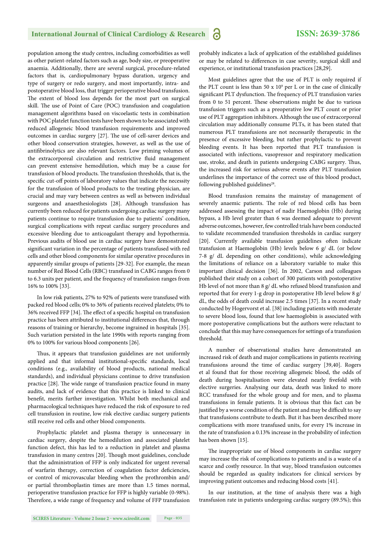population among the study centres, including comorbidities as well as other patient-related factors such as age, body size, or preoperative anaemia. Additionally, there are several surgical, procedure-related factors that is, cardiopulmonary bypass duration, urgency and type of surgery or redo surgery, and most importantly, intra- and postoperative blood loss, that trigger perioperative blood transfusion. The extent of blood loss depends for the most part on surgical skill. The use of Point of Care (POC) transfusion and coagulation management algorithms based on viscoelastic tests in combination with POC platelet function tests have been shown to be associated with reduced allogeneic blood transfusion requirements and improved outcomes in cardiac surgery [27]. The use of cell-saver devices and other blood conservation strategies, however, as well as the use of antifibrinolytics are also relevant factors. Low priming volumes of the extracorporeal circulation and restrictive fluid management can prevent extensive hemodilution, which may be a cause for transfusion of blood products. The transfusion thresholds, that is, the specific cut-off points of laboratory values that indicate the necessity for the transfusion of blood products to the treating physician, are crucial and may vary between centres as well as between individual surgeons and anaesthesiologists [28]. Although transfusion has currently been reduced for patients undergoing cardiac surgery many patients continue to require transfusion due to patients' condition, surgical complications with repeat cardiac surgery procedures and excessive bleeding due to anticoagulant therapy and hypothermia. Previous audits of blood use in cardiac surgery have demonstrated significant variation in the percentage of patients transfused with red cells and other blood components for similar operative procedures in apparently similar groups of patients [29-32]. For example, the mean number of Red Blood Cells (RBC) transfused in CABG ranges from 0 to 6.3 units per patient, and the frequency of transfusion ranges from 16% to 100% [33].

In low risk patients, 27% to 92% of patients were transfused with packed red blood cells; 0% to 36% of patients received platelets; 0% to 36% received FFP [34]. The effect of a specific hospital on transfusion practice has been attributed to institutional differences that, through reasons of training or hierarchy, become ingrained in hospitals [35]. Such variation persisted in the late 1990s with reports ranging from 0% to 100% for various blood components [26].

Thus, it appears that transfusion guidelines are not uniformly applied and that informal institutional-specific standards, local conditions (e.g., availability of blood products, national medical standards), and individual physicians continue to drive transfusion practice [28]. The wide range of transfusion practice found in many audits, and lack of evidence that this practice is linked to clinical benefit, merits further investigation. Whilst both mechanical and pharmacological techniques have reduced the risk of exposure to red cell transfusion in routine, low risk elective cardiac surgery patients still receive red cells and other blood components.

Prophylactic platelet and plasma therapy is unnecessary in cardiac surgery, despite the hemodilution and associated platelet function defect, this has led to a reduction in platelet and plasma transfusion in many centres [20]. Though most guidelines, conclude that the administration of FFP is only indicated for urgent reversal of warfarin therapy, correction of coagulation factor deficiencies, or control of microvascular bleeding when the prothrombin and/ or partial thromboplastin times are more than 1.5 times normal, perioperative transfusion practice for FFP is highly variable (0-98%). Therefore, a wide range of frequency and volume of FFP transfusion probably indicates a lack of application of the established guidelines or may be related to differences in case severity, surgical skill and experience, or institutional transfusion practices [28,29].

Most guidelines agree that the use of PLT is only required if the PLT count is less than 50  $x$  10<sup>9</sup> per L or in the case of clinically significant PLT dysfunction. The frequency of PLT transfusion varies from 0 to 51 percent. These observations might be due to various transfusion triggers such as a preoperative low PLT count or prior use of PLT aggregation inhibitors. Although the use of extracorporeal circulation may additionally consume PLTs, it has been stated that numerous PLT transfusions are not necessarily therapeutic in the presence of excessive bleeding, but rather prophylactic to prevent bleeding events. It has been reported that PLT transfusion is associated with infections, vasopressor and respiratory medication use, stroke, and death in patients undergoing CABG surgery. Thus, the increased risk for serious adverse events after PLT transfusion underlines the importance of the correct use of this blood product, following published guidelines<sup>28</sup>.

Blood transfusion remains the mainstay of management of severely anaemic patients. The role of red blood cells has been addressed assessing the impact of nadir Haemoglobin (Hb) during bypass, a Hb level greater than 6 was deemed adequate to prevent adverse outcomes, however, few controlled trials have been conducted to validate recommended transfusion thresholds in cardiac surgery [20]. Currently available transfusion guidelines often indicate transfusion at Haemoglobin (Hb) levels below 6 g/ dL (or below 7-8 g/ dL depending on other conditions), while acknowledging the limitations of reliance on a laboratory variable to make this important clinical decision [36]. In 2002, Carson and colleagues published their study on a cohort of 300 patients with postoperative Hb level of not more than 8 g/ dL who refused blood transfusion and reported that for every 1-g drop in postoperative Hb level below 8 g/ dL, the odds of death could increase 2.5 times [37]. In a recent study conducted by Hogervorst et al. [38] including patients with moderate to severe blood loss, found that low haemoglobin is associated with more postoperative complications but the authors were reluctant to conclude that this may have consequences for settings of a transfusion threshold.

A number of observational studies have demonstrated an increased risk of death and major complications in patients receiving transfusions around the time of cardiac surgery [39,40]. Rogers et al found that for those receiving allogeneic blood, the odds of death during hospitalisation were elevated nearly fivefold with elective surgeries. Analysing our data, death was linked to more RCC transfused for the whole group and for men, and to plasma transfusions in female patients. It is obvious that this fact can be justified by a worse condition of the patient and may be difficult to say that transfusions contribute to death. But it has been described more complications with more transfused units, for every 1% increase in the rate of transfusion a 0.13% increase in the probability of infection has been shown [15].

The inappropriate use of blood components in cardiac surgery may increase the risk of complications to patients and is a waste of a scarce and costly resource. In that way, blood transfusion outcomes should be regarded as quality indicators for clinical services by improving patient outcomes and reducing blood costs [41].

In our institution, at the time of analysis there was a high transfusion rate in patients undergoing cardiac surgery (89.5%); this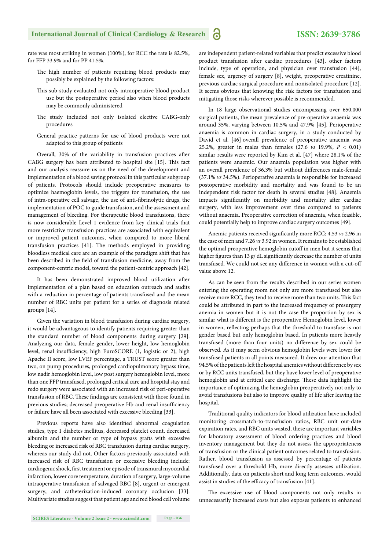### **ISSN: 2639-3786**

rate was most striking in women (100%), for RCC the rate is 82.5%, for FFP 33.9% and for PP 41.5%.

- The high number of patients requiring blood products may possibly be explained by the following factors:
- This sub-study evaluated not only intraoperative blood product use but the postoperative period also when blood products may be commonly administered
- The study included not only isolated elective CABG-only procedures
- General practice patterns for use of blood products were not adapted to this group of patients

Overall, 30% of the variability in transfusion practices after CABG surgery has been attributed to hospital site [15]. This fact and our analysis reassure us on the need of the development and implementation of a blood saving protocol in this particular subgroup of patients. Protocols should include preoperative measures to optimize haemoglobin levels, the triggers for transfusion, the use of intra-operative cell salvage, the use of anti-fibrinolytic drugs, the implementation of POC to guide transfusion, and the assessment and management of bleeding. For therapeutic blood transfusions, there is now considerable Level 1 evidence from key clinical trials that more restrictive transfusion practices are associated with equivalent or improved patient outcomes, when compared to more liberal transfusion practices [41]. The methods employed in providing bloodless medical care are an example of the paradigm shift that has been described in the field of transfusion medicine, away from the component-centric model, toward the patient-centric approach [42].

It has been demonstrated improved blood utilization after implementation of a plan based on education outreach and audits with a reduction in percentage of patients transfused and the mean number of RBC units per patient for a series of diagnosis related groups [14].

Given the variation in blood transfusion during cardiac surgery, it would be advantageous to identify patients requiring greater than the standard number of blood components during surgery [29]. Analyzing our data, female gender, lower height, low hemoglobin level, renal insufficiency, high EuroSCORE (1, logistic or 2), high Apache II score, low LVEF percentage, a TRUST score greater than two, on pump procedures, prolonged cardiopulmonary bypass time, low nadir hemoglobin level, low post surgery hemoglobin level, more than one FFP transfused, prolonged critical care and hospital stay and redo surgery were associated with an increased risk of peri-operative transfusion of RBC. These findings are consistent with those found in previous studies; decreased preoperative Hb and renal insufficiency or failure have all been associated with excessive bleeding [33].

Previous reports have also identified abnormal coagulation studies, type 1 diabetes mellitus, decreased platelet count, decreased albumin and the number or type of bypass grafts with excessive bleeding or increased risk of RBC transfusion during cardiac surgery, whereas our study did not. Other factors previously associated with increased risk of RBC transfusion or excessive bleeding include: cardiogenic shock, first treatment or episode of transmural myocardial infarction, lower core temperature, duration of surgery, large-volume intraoperative transfusion of salvaged RBC [8], urgent or emergent surgery, and catheterization-induced coronary occlusion [33]. Multivariate studies suggest that patient age and red blood cell volume are independent patient-related variables that predict excessive blood product transfusion after cardiac procedures [43], other factors include, type of operation, and physician over transfusion [44], female sex, urgency of surgery [8], weight, preoperative creatinine, previous cardiac surgical procedure and nonisolated procedure [12]. It seems obvious that knowing the risk factors for transfusion and mitigating those risks wherever possible is recommended.

In 18 large observational studies encompassing over 650,000 surgical patients, the mean prevalence of pre-operative anaemia was around 35%, varying between 10.5% and 47.9% [45]. Perioperative anaemia is common in cardiac surgery, in a study conducted by David et al. [46] overall prevalence of preoperative anaemia was 25.2%, greater in males than females (27.6 *vs* 19.9%, *P* < 0.01) similar results were reported by Kim et al. [47] where 28.1% of the patients were anaemic. Our anaemia population was higher with an overall prevalence of 36.3% but without differences male-female (37.1% *vs* 34.5%). Perioperative anaemia is responsible for increased postoperative morbidity and mortality and was found to be an independent risk factor for death in several studies [48]. Anaemia impacts significantly on morbidity and mortality after cardiac surgery, with less improvement over time compared to patients without anaemia. Preoperative correction of anaemia, when feasible, could potentially help to improve cardiac surgery outcomes [49].

Anemic patients received significantly more RCC; 4.53 *vs* 2.96 in the case of men and 7.26 *vs* 3.92 in women. It remains to be established the optimal preoperative hemoglobin cutoff in men but it seems that higher figures than 13 g/ dL significantly decrease the number of units transfused. We could not see any difference in women with a cut-off value above 12.

As can be seen from the results described in our series women entering the operating room not only are more transfused but also receive more RCC, they tend to receive more than two units. This fact could be attributed in part to the increased frequency of presurgery anemia in women but it is not the case the proportion by sex is similar what is different is the preoperative Hemoglobin level, lower in women, reflecting perhaps that the threshold to transfuse is not gender based but only hemoglobin based. In patients more heavily transfused (more than four units) no difference by sex could be observed. As it may seem obvious hemoglobin levels were lower for transfused patients in all points measured. It drew our attention that 94.5% of the patients left the hospital anemics without difference by sex or by RCC units transfused, but they have lower level of preoperative hemoglobin and at critical care discharge. These data highlight the importance of optimizing the hemoglobin preoperatively not only to avoid transfusions but also to improve quality of life after leaving the hospital.

Traditional quality indicators for blood utilization have included monitoring crossmatch-to-transfusion ratios, RBC unit out-date expiration rates, and RBC units wasted, these are important variables for laboratory assessment of blood ordering practices and blood inventory management but they do not assess the appropriateness of transfusion or the clinical patient outcomes related to transfusion. Rather, blood transfusion as assessed by percentage of patients transfused over a threshold Hb, more directly assesses utilization. Additionally, data on patients short and long term outcomes, would assist in studies of the efficacy of transfusion [41].

The excessive use of blood components not only results in unnecessarily increased costs but also exposes patients to enhanced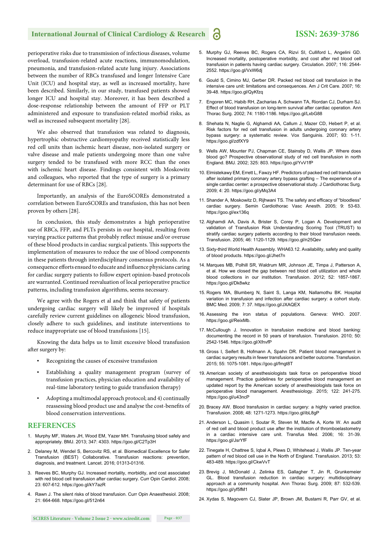perioperative risks due to transmission of infectious diseases, volume overload, transfusion-related acute reactions, immunomodulation, pneumonia, and transfusion-related acute lung injury. Associations between the number of RBCs transfused and longer Intensive Care Unit (ICU) and hospital stay, as well as increased mortality, have been described. Similarly, in our study, transfused patients showed longer ICU and hospital stay. Moreover, it has been described a dose-response relationship between the amount of FFP or PLT administered and exposure to transfusion-related morbid risks, as well as increased subsequent mortality [28].

We also observed that transfusion was related to diagnosis, hypertrophic obstructive cardiomyopathy received statistically less red cell units than ischemic heart disease, non-isolated surgery or valve disease and male patients undergoing more than one valve surgery tended to be transfused with more RCC than the ones with ischemic heart disease. Findings consistent with Moskowitz and colleagues, who reported that the type of surgery is a primary determinant for use of RBCs [28].

Importantly, an analysis of the EuroSCOREs demonstrated a correlation between EuroSCOREs and transfusion, this has not been proven by others [28].

In conclusion, this study demonstrates a high perioperative use of RBCs, FFP, and PLTs persists in our hospital, resulting from varying practice patterns that probably reflect misuse and/or overuse of these blood products in cardiac surgical patients. This supports the implementation of measures to reduce the use of blood components in these patients through interdisciplinary consensus protocols. As a consequence efforts ensued to educate and influence physicians caring for cardiac surgery patients to follow expert opinion-based protocols are warranted. Continued reevaluation of local perioperative practice patterns, including transfusion algorithms, seems necessary.

We agree with the Rogers et al and think that safety of patients undergoing cardiac surgery will likely be improved if hospitals carefully review current guidelines on allogeneic blood transfusion, closely adhere to such guidelines, and institute interventions to reduce inappropriate use of blood transfusions [15].

Knowing the data helps us to limit excessive blood transfusion after surgery by:

- Recognizing the causes of excessive transfusion
- Establishing a quality management program (survey of transfusion practices, physician education and availability of real-time laboratory testing to guide transfusion therapy)
- Adopting a multimodal approach protocol; and 4) continually reassessing blood product use and analyse the cost-benefits of blood conservation interventions.

#### **REFERENCES**

- 1. Murphy MF, Waters JH, Wood EM, Yazer MH. Transfusing blood safely and appropriately. BMJ. 2013; 347: 4303. https://goo.gl/C2Tp3H
- 2. Delaney M, Wendel S, Bercovitz RS, et al. Biomedical Excellence for Safer Transfusion (BEST) Collaborative. Transfusion reactions: prevention, diagnosis, and treatment. Lancet. 2016; 01313-01316.
- 3. Reeves BC, Murphy GJ. Increased mortality, morbidity, and cost associated with red blood cell transfusion after cardiac surgery. Curr Opin Cardiol. 2008; 23: 607-612. https://goo.gl/kY7azR
- 4. Rawn J. The silent risks of blood transfusion. Curr Opin Anaesthesiol. 2008; 21: 664-668. https://goo.gl/512n64
- 5. Murphy GJ, Reeves BC, Rogers CA, Rizvi SI, Culliford L, Angelini GD. Increased mortality, postoperative morbidity, and cost after red blood cell transfusion in patients having cardiac surgery. Circulation. 2007; 116: 2544- 2552. https://goo.gl/VxW6dj
- 6. Gould S, Cimino MJ, Gerber DR. Packed red blood cell transfusion in the intensive care unit: limitations and consequences. Am J Crit Care. 2007; 16: 39-48. https://goo.gl/QyKfzq
- 7. Engoren MC, Habib RH, Zacharias A, Schwann TA, Riordan CJ, Durham SJ. Effect of blood transfusion on long-term survival after cardiac operation. Ann Thorac Surg. 2002; 74: 1180-1186. https://goo.gl/LxbG88
- 8. Shehata N, Naglie G, Alghamdi AA, Callum J, Mazer CD, Hebert P, et al. Risk factors for red cell transfusion in adults undergoing coronary artery bypass surgery: a systematic review. Vox Sanguinis. 2007; 93: 1-11. https://goo.gl/zdfXY9
- 9. Wells AW, Mounter PJ, Chapman CE, Stainsby D, Wallis JP. Where does blood go? Prospective observational study of red cell transfusion in north England. BMJ. 2002; 325: 803. https://goo.gl/YvV1fP
- 10. Elmistekawy EM, Errett L, Fawzy HF. Predictors of packed red cell transfusion after isolated primary coronary artery bypass grafting – The experience of a single cardiac center: a prospective observational study. J Cardiothorac Surg. 2009; 4: 20. https://goo.gl/yMq3A4
- 11. Shander A, Moskowitz D, Rijhwani TS. The safety and efficacy of "bloodless" cardiac surgery. Semin Cardiothorac Vasc Anesth. 2005; 9: 53-63. https://goo.gl/ex136q
- 12. Alghamdi AA, Davis A, Brister S, Corey P, Logan A. Development and validation of Transfusion Risk Understanding Scoring Tool (TRUST) to stratify cardiac surgery patients according to their blood transfusion needs. Transfusion. 2005; 46: 1120-1129. https://goo.gl/n25Qev
- 13. Sixty-third World Health Assembly. WHA63.12. Availability, safety and quality of blood products. https://goo.gl/Jhet7n
- 14. Marques MB, Polhill SR, Waldrum MR, Johnson JE, Timpa J, Patterson A, et al. How we closed the gap between red blood cell utilization and whole blood collections in our institution. Transfusion. 2012; 52: 1857-1867. https://goo.gl/Dk8wkz
- 15. Rogers MA, Blumberg N, Saint S, Langa KM, Nallamothu BK. Hospital variation in transfusion and infection after cardiac surgery: a cohort study. BMC Med. 2009; 7: 37. https://goo.gl/JXAQEX
- 16. Assessing the iron status of populations. Geneva: WHO. 2007. https://goo.gl/ReixMb.
- 17. McCullough J. Innovation in transfusion medicine and blood banking: documenting the record in 50 years of transfusion. Transfusion. 2010; 50: 2542-1546. https://goo.gl/XfnvfP
- 18. Gross I, Seifert B, Hofmann A, Spahn DR. Patient blood management in cardiac surgery results in fewer transfusions and better outcome. Transfusion. 2015; 55: 1075-1081. https://goo.gl/fmgt8T
- 19. American society of anesthesiologists task force on perioperative blood management. Practice guidelines for perioperative blood management an updated report by the American society of anesthesiologists task force on perioperative blood management. Anesthesiology. 2015; 122: 241-275. https://goo.gl/u43ncP
- 20. Bracey AW. Blood transfusion in cardiac surgery: a highly varied practice. Transfusion. 2008; 48: 1271-1273. https://goo.gl/ibL8gP
- 21. Anderson L, Quasim I, Soutar R, Steven M, Macfie A, Korte W. An audit of red cell and blood product use after the institution of thromboelastometry in a cardiac intensive care unit. Transfus Med. 2006; 16: 31-39. https://goo.gl/JsrYfF
- 22. Tinegate H, Chattree S, Iqbal A, Plews D, Whitehead J, Wallis JP. Ten-year pattern of red blood cell use in the North of England. Transfusion. 2013; 53: 483-489. https://goo.gl/CkwVvT
- 23. Brevig J, McDonald J, Zelinka ES, Gallagher T, Jin R, Grunkemeier GL. Blood transfusion reduction in cardiac surgery: multidisciplinary approach at a community hospital. Ann Thorac Surg. 2009; 87: 532-539. https://goo.gl/yf5fM1
- 24. Xydas S, Magovern CJ, Slater JP, Brown JM, Bustami R, Parr GV, et al.